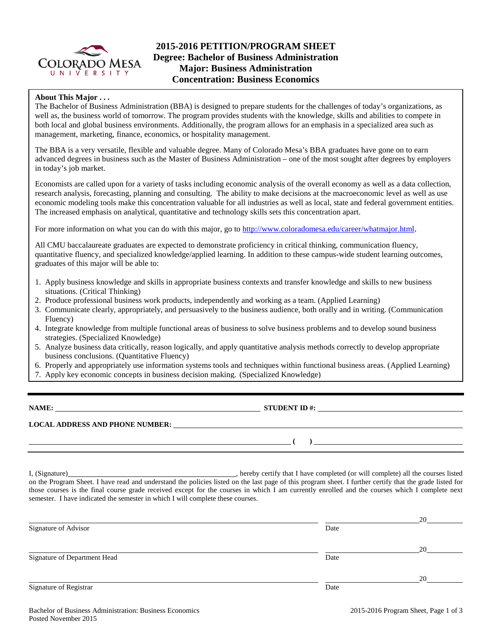

# **2015-2016 PETITION/PROGRAM SHEET Degree: Bachelor of Business Administration Major: Business Administration Concentration: Business Economics**

## **About This Major . . .**

The Bachelor of Business Administration (BBA) is designed to prepare students for the challenges of today's organizations, as well as, the business world of tomorrow. The program provides students with the knowledge, skills and abilities to compete in both local and global business environments. Additionally, the program allows for an emphasis in a specialized area such as management, marketing, finance, economics, or hospitality management.

The BBA is a very versatile, flexible and valuable degree. Many of Colorado Mesa's BBA graduates have gone on to earn advanced degrees in business such as the Master of Business Administration – one of the most sought after degrees by employers in today's job market.

Economists are called upon for a variety of tasks including economic analysis of the overall economy as well as a data collection, research analysis, forecasting, planning and consulting. The ability to make decisions at the macroeconomic level as well as use economic modeling tools make this concentration valuable for all industries as well as local, state and federal government entities. The increased emphasis on analytical, quantitative and technology skills sets this concentration apart.

For more information on what you can do with this major, go to [http://www.coloradomesa.edu/career/whatmajor.html.](http://www.coloradomesa.edu/career/whatmajor.html)

All CMU baccalaureate graduates are expected to demonstrate proficiency in critical thinking, communication fluency, quantitative fluency, and specialized knowledge/applied learning. In addition to these campus-wide student learning outcomes, graduates of this major will be able to:

- 1. Apply business knowledge and skills in appropriate business contexts and transfer knowledge and skills to new business situations. (Critical Thinking)
- 2. Produce professional business work products, independently and working as a team. (Applied Learning)
- 3. Communicate clearly, appropriately, and persuasively to the business audience, both orally and in writing. (Communication Fluency)
- 4. Integrate knowledge from multiple functional areas of business to solve business problems and to develop sound business strategies. (Specialized Knowledge)
- 5. Analyze business data critically, reason logically, and apply quantitative analysis methods correctly to develop appropriate business conclusions. (Quantitative Fluency)
- 6. Properly and appropriately use information systems tools and techniques within functional business areas. (Applied Learning)
- 7. Apply key economic concepts in business decision making. (Specialized Knowledge)

**NAME: STUDENT ID #: STUDENT ID #: STUDENT ID #: STUDENT ID #: STUDENT ID #: STUDENT ID #: STUDENT ID #: STUDENT ID #: STUDENT ID #: STUDENT ID #: STUDENT ID #: STUDENT ID #: STUDENT ID #: STUDE** 

**LOCAL ADDRESS AND PHONE NUMBER:**

I, (Signature) , hereby certify that I have completed (or will complete) all the courses listed on the Program Sheet. I have read and understand the policies listed on the last page of this program sheet. I further certify that the grade listed for those courses is the final course grade received except for the courses in which I am currently enrolled and the courses which I complete next semester. I have indicated the semester in which I will complete these courses.

|                              |      | 20 |
|------------------------------|------|----|
| Signature of Advisor         | Date |    |
|                              |      | 20 |
| Signature of Department Head | Date |    |
|                              |      | 20 |
| Signature of Registrar       | Date |    |

**( )**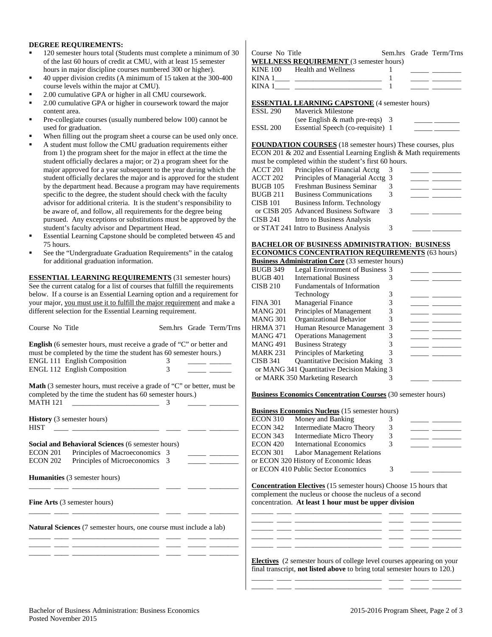#### **DEGREE REQUIREMENTS:**

- 120 semester hours total (Students must complete a minimum of 30 of the last 60 hours of credit at CMU, with at least 15 semester hours in major discipline courses numbered 300 or higher).
- 40 upper division credits (A minimum of 15 taken at the 300-400 course levels within the major at CMU).
- 2.00 cumulative GPA or higher in all CMU coursework.
- 2.00 cumulative GPA or higher in coursework toward the major content area.
- Pre-collegiate courses (usually numbered below 100) cannot be used for graduation.
- When filling out the program sheet a course can be used only once.
- A student must follow the CMU graduation requirements either from 1) the program sheet for the major in effect at the time the student officially declares a major; or 2) a program sheet for the major approved for a year subsequent to the year during which the student officially declares the major and is approved for the student by the department head. Because a program may have requirements specific to the degree, the student should check with the faculty advisor for additional criteria. It is the student's responsibility to be aware of, and follow, all requirements for the degree being pursued. Any exceptions or substitutions must be approved by the student's faculty advisor and Department Head.
- Essential Learning Capstone should be completed between 45 and 75 hours.
- See the "Undergraduate Graduation Requirements" in the catalog for additional graduation information.

**ESSENTIAL LEARNING REQUIREMENTS** (31 semester hours) See the current catalog for a list of courses that fulfill the requirements below. If a course is an Essential Learning option and a requirement for your major, you must use it to fulfill the major requirement and make a different selection for the Essential Learning requirement.

| Course No Title                                                                                                                                                                                                                                     | Sem.hrs Grade Term/Trns | <b>HRMA 371</b> | Human Resource Management 3                                                   |   |                                                                                                                                                                                                                                                                                                                                                                                                                                                |  |
|-----------------------------------------------------------------------------------------------------------------------------------------------------------------------------------------------------------------------------------------------------|-------------------------|-----------------|-------------------------------------------------------------------------------|---|------------------------------------------------------------------------------------------------------------------------------------------------------------------------------------------------------------------------------------------------------------------------------------------------------------------------------------------------------------------------------------------------------------------------------------------------|--|
|                                                                                                                                                                                                                                                     |                         | <b>MANG 471</b> | <b>Operations Management</b>                                                  | 3 | <u> 1999 - Jan James James Barnett, ameri</u> kan                                                                                                                                                                                                                                                                                                                                                                                              |  |
|                                                                                                                                                                                                                                                     |                         | <b>MANG 491</b> | <b>Business Strategy</b>                                                      | 3 |                                                                                                                                                                                                                                                                                                                                                                                                                                                |  |
| <b>English</b> (6 semester hours, must receive a grade of "C" or better and                                                                                                                                                                         |                         | <b>MARK 231</b> |                                                                               |   | $\frac{1}{2} \left( \frac{1}{2} \right) = \frac{1}{2} \left( \frac{1}{2} \right) = \frac{1}{2} \left( \frac{1}{2} \right) = \frac{1}{2} \left( \frac{1}{2} \right) = \frac{1}{2} \left( \frac{1}{2} \right) = \frac{1}{2} \left( \frac{1}{2} \right) = \frac{1}{2} \left( \frac{1}{2} \right) = \frac{1}{2} \left( \frac{1}{2} \right) = \frac{1}{2} \left( \frac{1}{2} \right) = \frac{1}{2} \left( \frac{1}{2} \right) = \frac{1}{2} \left($ |  |
| must be completed by the time the student has 60 semester hours.)                                                                                                                                                                                   |                         |                 | Principles of Marketing                                                       |   |                                                                                                                                                                                                                                                                                                                                                                                                                                                |  |
| <b>ENGL 111 English Composition</b>                                                                                                                                                                                                                 | 3                       | <b>CISB 341</b> | <b>Quantitative Decision Making</b>                                           |   |                                                                                                                                                                                                                                                                                                                                                                                                                                                |  |
| ENGL 112 English Composition                                                                                                                                                                                                                        | 3                       |                 | or MANG 341 Quantitative Decision Making 3                                    |   |                                                                                                                                                                                                                                                                                                                                                                                                                                                |  |
|                                                                                                                                                                                                                                                     |                         |                 | or MARK 350 Marketing Research                                                |   |                                                                                                                                                                                                                                                                                                                                                                                                                                                |  |
| <b>Math</b> (3 semester hours, must receive a grade of "C" or better, must be                                                                                                                                                                       |                         |                 |                                                                               |   |                                                                                                                                                                                                                                                                                                                                                                                                                                                |  |
| completed by the time the student has 60 semester hours.)                                                                                                                                                                                           |                         |                 | <b>Business Economics Concentration Courses</b> (30 semester hours)           |   |                                                                                                                                                                                                                                                                                                                                                                                                                                                |  |
| <b>MATH 121</b>                                                                                                                                                                                                                                     |                         |                 |                                                                               |   |                                                                                                                                                                                                                                                                                                                                                                                                                                                |  |
|                                                                                                                                                                                                                                                     |                         |                 | <b>Business Economics Nucleus</b> (15 semester hours)                         |   |                                                                                                                                                                                                                                                                                                                                                                                                                                                |  |
| <b>History</b> (3 semester hours)                                                                                                                                                                                                                   |                         | <b>ECON 310</b> | Money and Banking                                                             | 3 |                                                                                                                                                                                                                                                                                                                                                                                                                                                |  |
| <b>HIST</b><br><u> 1980 - Johann John Harry Harry Harry Harry Harry Harry Harry Harry Harry Harry Harry Harry Harry Harry Harry Harry Harry Harry Harry Harry Harry Harry Harry Harry Harry Harry Harry Harry Harry Harry Harry Harry Harry Har</u> |                         | <b>ECON 342</b> | Intermediate Macro Theory                                                     | 3 | <u> The Common State State State State State State State State State State State State State State State State State State State State State State State State State State State State State State State State State State State</u>                                                                                                                                                                                                           |  |
|                                                                                                                                                                                                                                                     |                         | ECON 343        | Intermediate Micro Theory                                                     | 3 |                                                                                                                                                                                                                                                                                                                                                                                                                                                |  |
| Social and Behavioral Sciences (6 semester hours)                                                                                                                                                                                                   |                         | <b>ECON 420</b> | International Economics                                                       | 3 |                                                                                                                                                                                                                                                                                                                                                                                                                                                |  |
| Principles of Macroeconomics 3<br><b>ECON 201</b>                                                                                                                                                                                                   |                         | <b>ECON 301</b> | Labor Management Relations                                                    |   |                                                                                                                                                                                                                                                                                                                                                                                                                                                |  |
| Principles of Microeconomics 3<br><b>ECON 202</b>                                                                                                                                                                                                   |                         |                 | or ECON 320 History of Economic Ideas                                         |   |                                                                                                                                                                                                                                                                                                                                                                                                                                                |  |
|                                                                                                                                                                                                                                                     |                         |                 | or ECON 410 Public Sector Economics                                           | 3 |                                                                                                                                                                                                                                                                                                                                                                                                                                                |  |
| Humanities (3 semester hours)                                                                                                                                                                                                                       |                         |                 |                                                                               |   |                                                                                                                                                                                                                                                                                                                                                                                                                                                |  |
|                                                                                                                                                                                                                                                     |                         |                 | <b>Concentration Electives</b> (15 semester hours) Choose 15 hours that       |   |                                                                                                                                                                                                                                                                                                                                                                                                                                                |  |
|                                                                                                                                                                                                                                                     |                         |                 | complement the nucleus or choose the nucleus of a second                      |   |                                                                                                                                                                                                                                                                                                                                                                                                                                                |  |
| <b>Fine Arts</b> (3 semester hours)                                                                                                                                                                                                                 |                         |                 | concentration. At least 1 hour must be upper division                         |   |                                                                                                                                                                                                                                                                                                                                                                                                                                                |  |
|                                                                                                                                                                                                                                                     |                         |                 |                                                                               |   |                                                                                                                                                                                                                                                                                                                                                                                                                                                |  |
|                                                                                                                                                                                                                                                     |                         |                 |                                                                               |   |                                                                                                                                                                                                                                                                                                                                                                                                                                                |  |
| Natural Sciences (7 semester hours, one course must include a lab)                                                                                                                                                                                  |                         |                 |                                                                               |   |                                                                                                                                                                                                                                                                                                                                                                                                                                                |  |
|                                                                                                                                                                                                                                                     |                         |                 |                                                                               |   |                                                                                                                                                                                                                                                                                                                                                                                                                                                |  |
|                                                                                                                                                                                                                                                     |                         |                 |                                                                               |   |                                                                                                                                                                                                                                                                                                                                                                                                                                                |  |
|                                                                                                                                                                                                                                                     |                         |                 |                                                                               |   |                                                                                                                                                                                                                                                                                                                                                                                                                                                |  |
|                                                                                                                                                                                                                                                     |                         |                 | <b>Electives</b> (2 semester hours of college level courses appearing on your |   |                                                                                                                                                                                                                                                                                                                                                                                                                                                |  |

| Course No Title | <b>WELLNESS REQUIREMENT</b> (3 semester hours) |  | Sem.hrs Grade Term/Trns |
|-----------------|------------------------------------------------|--|-------------------------|
| KINA 1          | KINE 100 Health and Wellness                   |  |                         |
| KINA 1          |                                                |  |                         |

### **ESSENTIAL LEARNING CAPSTONE** (4 semester hours)

 $\mathbf{I}$ 

| ESSL 290 | <b>Maverick Milestone</b>          |  |
|----------|------------------------------------|--|
|          | (see English $\&$ math pre-reqs) 3 |  |
| ESSL 200 | Essential Speech (co-requisite) 1  |  |

**FOUNDATION COURSES** (18 semester hours) These courses, plus ECON 201 & 202 and Essential Learning English & Math requirements must be completed within the student's first 60 hours.

| ACCT 201 | Principles of Financial Acctg          |   |  |
|----------|----------------------------------------|---|--|
| ACCT 202 | Principles of Managerial Acctg 3       |   |  |
| BUGB 105 | Freshman Business Seminar              |   |  |
| BUGB 211 | <b>Business Communications</b>         |   |  |
| CISB 101 | Business Inform. Technology            |   |  |
|          | or CISB 205 Advanced Business Software |   |  |
| CISB 241 | Intro to Business Analysis             |   |  |
|          | or STAT 241 Intro to Business Analysis | 3 |  |
|          |                                        |   |  |

#### **BACHELOR OF BUSINESS ADMINISTRATION: BUSINESS ECONOMICS CONCENTRATION REQUIREMENTS** (63 hours)

|                 | <b>Business Administration Core</b> (33 semester hours) |               |  |
|-----------------|---------------------------------------------------------|---------------|--|
| <b>BUGB 349</b> | Legal Environment of Business 3                         |               |  |
| <b>BUGB 401</b> | <b>International Business</b>                           | 3             |  |
| <b>CISB 210</b> | Fundamentals of Information                             |               |  |
|                 | Technology                                              | 3             |  |
| <b>FINA 301</b> | <b>Managerial Finance</b>                               |               |  |
| <b>MANG 201</b> | Principles of Management                                | 3             |  |
| <b>MANG 301</b> | Organizational Behavior                                 | 3             |  |
| <b>HRMA 371</b> | Human Resource Management                               | $\mathcal{R}$ |  |
| <b>MANG471</b>  | <b>Operations Management</b>                            |               |  |
| <b>MANG491</b>  | <b>Business Strategy</b>                                |               |  |
| <b>MARK 231</b> | Principles of Marketing                                 | 3             |  |
| <b>CISB 341</b> | <b>Ouantitative Decision Making</b>                     | 3             |  |
|                 | or MANG 341 Quantitative Decision Making 3              |               |  |
|                 | or MARK 350 Marketing Research                          | 3             |  |
|                 |                                                         |               |  |

#### **Economics Concentration Courses** (30 semester hours)

|                 | <b>Business Economics Nucleus</b> (15 semester hours) |   |  |
|-----------------|-------------------------------------------------------|---|--|
| <b>ECON 310</b> | Money and Banking                                     |   |  |
| <b>ECON 342</b> | Intermediate Macro Theory                             | 3 |  |
| <b>ECON 343</b> | Intermediate Micro Theory                             | 3 |  |
| <b>ECON 420</b> | <b>International Economics</b>                        |   |  |
| <b>ECON 301</b> | <b>Labor Management Relations</b>                     |   |  |
|                 | or ECON 320 History of Economic Ideas                 |   |  |
|                 | or ECON 410 Public Sector Economics                   | 3 |  |
|                 |                                                       |   |  |

| <b>Electives</b> (2 semester hours of college level courses appearing on your    |
|----------------------------------------------------------------------------------|
| final transcript, <b>not listed above</b> to bring total semester hours to 120.) |
|                                                                                  |

\_\_\_\_\_\_ \_\_\_\_ \_\_\_\_\_\_\_\_\_\_\_\_\_\_\_\_\_\_\_\_\_\_\_\_ \_\_\_\_ \_\_\_\_\_ \_\_\_\_\_\_\_\_